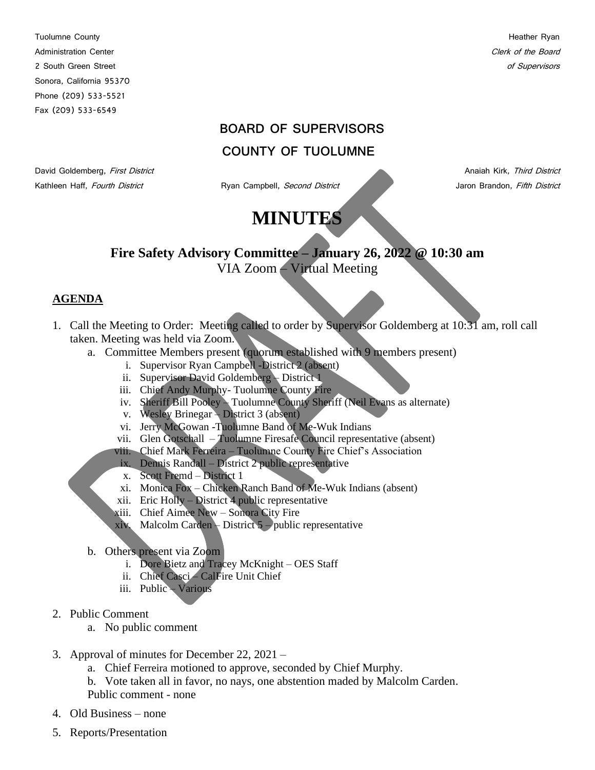Tuolumne County **Heather Ryan** Administration Center Content of the Board Clerk of the Board Clerk of the Board Clerk of the Board Clerk of the Board Clerk of the Board Clerk of the Board Clerk of the Board Clerk of the Board Clerk of the Board Clerk of 2 South Green Street of Supervisors and Supervisors and Supervisors and Supervisors of Supervisors of Supervisors Sonora, California 95370 Phone (209) 533-5521 Fax (209) 533-6549

### **BOARD OF SUPERVISORS**

## **COUNTY OF TUOLUMNE**

Kathleen Haff, Fourth District **Ryan Campbell**, Second District **All Campbell** Jaron Brandon, Fifth District

David Goldemberg, First District Anaiah Kirk, Third District Anaiah Kirk, Third District

# **MINUTES**

## **Fire Safety Advisory Committee – January 26, 2022 @ 10:30 am** VIA Zoom – Virtual Meeting

#### **AGENDA**

- 1. Call the Meeting to Order: Meeting called to order by Supervisor Goldemberg at 10:31 am, roll call taken. Meeting was held via Zoom.
	- a. Committee Members present (quorum established with 9 members present)
		- i. Supervisor Ryan Campbell -District 2 (absent)
		- ii. Supervisor David Goldemberg District 1
		- iii. Chief Andy Murphy- Tuolumne County Fire
		- iv. Sheriff Bill Pooley Tuolumne County Sheriff (Neil Evans as alternate)
		- v. Wesley Brinegar District 3 (absent)
		- vi. Jerry McGowan -Tuolumne Band of Me-Wuk Indians
		- vii. Glen Gotschall Tuolumne Firesafe Council representative (absent)
		- viii. Chief Mark Ferreira Tuolumne County Fire Chief's Association
		- ix. Dennis Randall District 2 public representative
		- x. Scott Fremd District 1
		- xi. Monica Fox Chicken Ranch Band of Me-Wuk Indians (absent)
		- xii. Eric Holly District 4 public representative
		- xiii. Chief Aimee New Sonora City Fire
		- xiv. Malcolm Carden District 5 public representative
	- b. Others present via Zoom
		- i. Dore Bietz and Tracey McKnight OES Staff
		- ii. Chief Casci CalFire Unit Chief
		- iii. Public Various
- 2. Public Comment
	- a. No public comment
- 3. Approval of minutes for December 22, 2021
	- a. Chief Ferreira motioned to approve, seconded by Chief Murphy.
	- b. Vote taken all in favor, no nays, one abstention maded by Malcolm Carden. Public comment - none
- 4. Old Business none
- 5. Reports/Presentation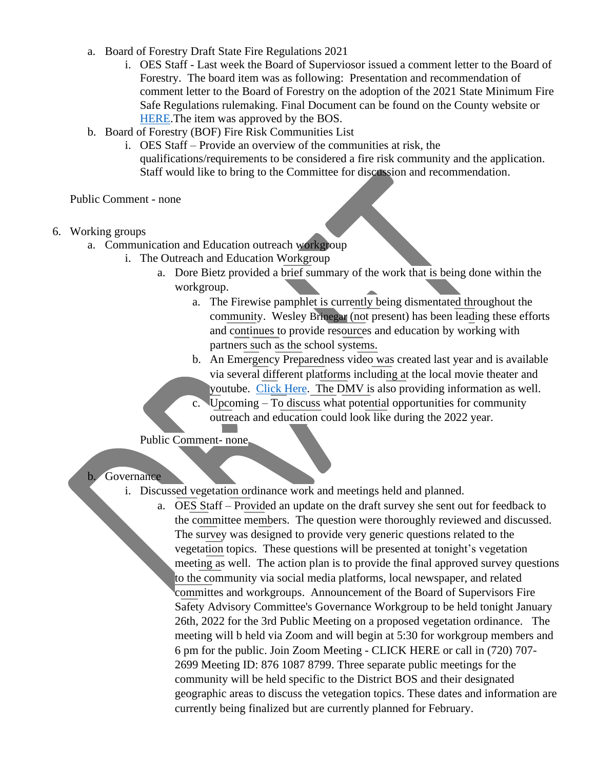- a. Board of Forestry Draft State Fire Regulations 2021
	- i. OES Staff Last week the Board of Superviosor issued a comment letter to the Board of Forestry. The board item was as following: [Presentation and recommendation of](https://tuolumneco.granicus.com/MediaPlayer.php?view_id=5&clip_id=593&meta_id=84232)  [comment letter to the Board of Forestry on the adoption of the 2021 State Minimum Fire](https://tuolumneco.granicus.com/MediaPlayer.php?view_id=5&clip_id=593&meta_id=84232)  [Safe Regulations rulemaking.](https://tuolumneco.granicus.com/MediaPlayer.php?view_id=5&clip_id=593&meta_id=84232) [Final Document](https://tuolumneco.granicus.com/MetaViewer.php?view_id=5&clip_id=593&meta_id=84312) can be found on the County website or [HERE.](https://tuolumneco.granicus.com/MinutesViewer.php?view_id=5&clip_id=593&doc_id=722b021c-795e-11ec-b1e1-0050569183fa%20%20%20%20%20%20)The item was approved by the BOS.
- b. Board of Forestry (BOF) Fire Risk Communities List
	- i. OES Staff Provide an overview of the communities at risk, the qualifications/requirements to be considered a fire risk community and the application. Staff would like to bring to the Committee for discussion and recommendation.

Public Comment - none

- 6. Working groups
	- a. Communication and Education outreach workgroup
		- i. The Outreach and Education Workgroup
			- a. Dore Bietz provided a brief summary of the work that is being done within the workgroup.
				- a. The Firewise pamphlet is currently being dismentated throughout the community. Wesley Brinegar (not present) has been leading these efforts and continues to provide resources and education by working with partners such as the school systems.
				- b. An Emergency Preparedness video was created last year and is available via several different platforms including at the local movie theater and youtube. [Click Here.](https://youtu.be/amI5Vr8e9Ec) The DMV is also providing information as well.
				- c. Upcoming To discuss what potential opportunities for community outreach and education could look like during the 2022 year.

Public Comment- none

#### b. Governance

- i. Discussed vegetation ordinance work and meetings held and planned.
	- a. OES Staff Provided an update on the draft survey she sent out for feedback to the committee members. The question were thoroughly reviewed and discussed. The survey was designed to provide very generic questions related to the vegetation topics. These questions will be presented at tonight's vegetation meeting as well. The action plan is to provide the final approved survey questions to the community via social media platforms, local newspaper, and related committes and workgroups. Announcement of the Board of Supervisors Fire Safety Advisory Committee's Governance Workgroup to be held tonight January 26th, 2022 for the 3rd Public Meeting on a proposed vegetation ordinance. The meeting will b held via Zoom and will begin at 5:30 for workgroup members and 6 pm for the public. Join Zoom Meeting - [CLICK HERE](https://tuolumne-ca-gov.zoom.us/j/87610878799) or call in (720) 707- 2699 Meeting ID: 876 1087 8799. Three separate public meetings for the community will be held specific to the District BOS and their designated geographic areas to discuss the vetegation topics. These dates and information are currently being finalized but are currently planned for February.